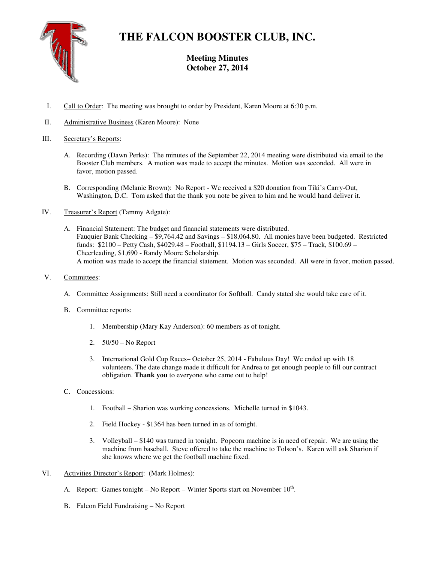

# **THE FALCON BOOSTER CLUB, INC.**

## **Meeting Minutes October 27, 2014**

- I. Call to Order: The meeting was brought to order by President, Karen Moore at 6:30 p.m.
- II. Administrative Business (Karen Moore): None

### III. Secretary's Reports:

- A. Recording (Dawn Perks): The minutes of the September 22, 2014 meeting were distributed via email to the Booster Club members. A motion was made to accept the minutes. Motion was seconded. All were in favor, motion passed.
- B. Corresponding (Melanie Brown): No Report We received a \$20 donation from Tiki's Carry-Out, Washington, D.C. Tom asked that the thank you note be given to him and he would hand deliver it.
- IV. Treasurer's Report (Tammy Adgate):
	- A. Financial Statement: The budget and financial statements were distributed. Fauquier Bank Checking – \$9,764.42 and Savings – \$18,064.80. All monies have been budgeted. Restricted funds: \$2100 – Petty Cash, \$4029.48 – Football, \$1194.13 – Girls Soccer, \$75 – Track, \$100.69 – Cheerleading, \$1,690 - Randy Moore Scholarship. A motion was made to accept the financial statement. Motion was seconded. All were in favor, motion passed.
- V. Committees:
	- A. Committee Assignments: Still need a coordinator for Softball. Candy stated she would take care of it.
	- B. Committee reports:
		- 1. Membership (Mary Kay Anderson): 60 members as of tonight.
		- 2. 50/50 No Report
		- 3. International Gold Cup Races– October 25, 2014 Fabulous Day! We ended up with 18 volunteers. The date change made it difficult for Andrea to get enough people to fill our contract obligation. **Thank you** to everyone who came out to help!
	- C. Concessions:
		- 1. Football Sharion was working concessions. Michelle turned in \$1043.
		- 2. Field Hockey \$1364 has been turned in as of tonight.
		- 3. Volleyball \$140 was turned in tonight. Popcorn machine is in need of repair. We are using the machine from baseball. Steve offered to take the machine to Tolson's. Karen will ask Sharion if she knows where we get the football machine fixed.
- VI. Activities Director's Report: (Mark Holmes):
	- A. Report: Games tonight No Report Winter Sports start on November  $10^{th}$ .
	- B. Falcon Field Fundraising No Report